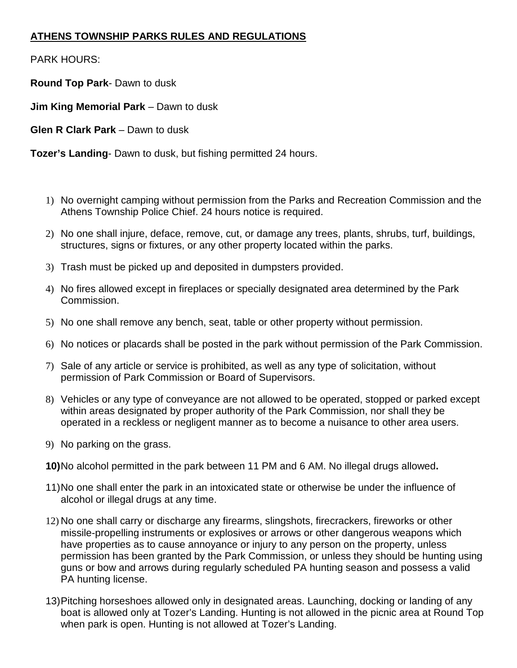## **ATHENS TOWNSHIP PARKS RULES AND REGULATIONS**

PARK HOURS:

**Round Top Park**- Dawn to dusk

**Jim King Memorial Park** – Dawn to dusk

**Glen R Clark Park** – Dawn to dusk

**Tozer's Landing**- Dawn to dusk, but fishing permitted 24 hours.

- 1) No overnight camping without permission from the Parks and Recreation Commission and the Athens Township Police Chief. 24 hours notice is required.
- 2) No one shall injure, deface, remove, cut, or damage any trees, plants, shrubs, turf, buildings, structures, signs or fixtures, or any other property located within the parks.
- 3) Trash must be picked up and deposited in dumpsters provided.
- 4) No fires allowed except in fireplaces or specially designated area determined by the Park Commission.
- 5) No one shall remove any bench, seat, table or other property without permission.
- 6) No notices or placards shall be posted in the park without permission of the Park Commission.
- 7) Sale of any article or service is prohibited, as well as any type of solicitation, without permission of Park Commission or Board of Supervisors.
- 8) Vehicles or any type of conveyance are not allowed to be operated, stopped or parked except within areas designated by proper authority of the Park Commission, nor shall they be operated in a reckless or negligent manner as to become a nuisance to other area users.
- 9) No parking on the grass.

**10)** No alcohol permitted in the park between 11 PM and 6 AM. No illegal drugs allowed**.** 

- 11) No one shall enter the park in an intoxicated state or otherwise be under the influence of alcohol or illegal drugs at any time.
- 12) No one shall carry or discharge any firearms, slingshots, firecrackers, fireworks or other missile-propelling instruments or explosives or arrows or other dangerous weapons which have properties as to cause annoyance or injury to any person on the property, unless permission has been granted by the Park Commission, or unless they should be hunting using guns or bow and arrows during regularly scheduled PA hunting season and possess a valid PA hunting license.
- 13) Pitching horseshoes allowed only in designated areas. Launching, docking or landing of any boat is allowed only at Tozer's Landing. Hunting is not allowed in the picnic area at Round Top when park is open. Hunting is not allowed at Tozer's Landing.